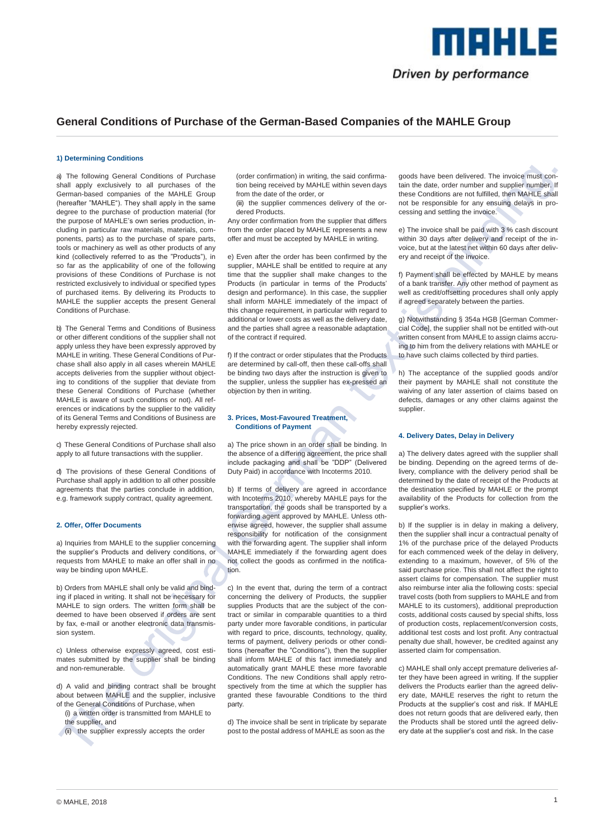

# **General Conditions of Purchase of the German-Based Companies of the MAHLE Group**

### **1) Determining Conditions**

a) The following General Conditions of Purchase shall apply exclusively to all purchases of the German-based companies of the MAHLE Group (hereafter "MAHLE"). They shall apply in the same degree to the purchase of production material (for the purpose of MAHLE's own series production, including in particular raw materials, materials, components, parts) as to the purchase of spare parts, tools or machinery as well as other products of any kind (collectively referred to as the "Products"), in so far as the applicability of one of the following provisions of these Conditions of Purchase is not restricted exclusively to individual or specified types of purchased items. By delivering its Products to MAHLE the supplier accepts the present General Conditions of Purchase.

b) The General Terms and Conditions of Business or other different conditions of the supplier shall not apply unless they have been expressly approved by MAHLE in writing. These General Conditions of Purchase shall also apply in all cases wherein MAHLE accepts deliveries from the supplier without objecting to conditions of the supplier that deviate from these General Conditions of Purchase (whether MAHLE is aware of such conditions or not). All references or indications by the supplier to the validity of its General Terms and Conditions of Business are hereby expressly rejected.

c) These General Conditions of Purchase shall also apply to all future transactions with the supplier.

d) The provisions of these General Conditions of Purchase shall apply in addition to all other possible agreements that the parties conclude in addition, e.g. framework supply contract, quality agreement.

### **2. Offer, Offer Documents**

a) Inquiries from MAHLE to the supplier concerning the supplier's Products and delivery conditions, or requests from MAHLE to make an offer shall in no way be binding upon MAHLE.

b) Orders from MAHLE shall only be valid and binding if placed in writing. It shall not be necessary for MAHLE to sign orders. The written form shall be deemed to have been observed if orders are sent by fax, e-mail or another electronic data transmission system.

c) Unless otherwise expressly agreed, cost estimates submitted by the supplier shall be binding and non-remunerable.

d) A valid and binding contract shall be brought about between MAHLE and the supplier, inclusive of the General Conditions of Purchase, when

(i) a written order is transmitted from MAHLE to the supplier, and

(ii) the supplier expressly accepts the order

(order confirmation) in writing, the said confirmation being received by MAHLE within seven days from the date of the order, or

(iii) the supplier commences delivery of the ordered Products.

Any order confirmation from the supplier that differs from the order placed by MAHLE represents a new offer and must be accepted by MAHLE in writing.

e) Even after the order has been confirmed by the supplier, MAHLE shall be entitled to require at any time that the supplier shall make changes to the Products (in particular in terms of the Products' design and performance). In this case, the supplier shall inform MAHLE immediately of the impact of this change requirement, in particular with regard to additional or lower costs as well as the delivery date, and the parties shall agree a reasonable adaptation of the contract if required.

f) If the contract or order stipulates that the Products are determined by call-off, then these call-offs shall be binding two days after the instruction is given to the supplier, unless the supplier has ex-pressed an objection by then in writing.

# **3. Prices, Most-Favoured Treatment, Conditions of Payment**

a) The price shown in an order shall be binding. In the absence of a differing agreement, the price shall include packaging and shall be "DDP" (Delivered Duty Paid) in accordance with Incoterms 2010.

b) If terms of delivery are agreed in accordance with Incoterms 2010, whereby MAHLE pays for the transportation, the goods shall be transported by a forwarding agent approved by MAHLE. Unless otherwise agreed, however, the supplier shall assume responsibility for notification of the consignment with the forwarding agent. The supplier shall inform MAHLE immediately if the forwarding agent does not collect the goods as confirmed in the notification.

c) In the event that, during the term of a contract concerning the delivery of Products, the supplier supplies Products that are the subject of the contract or similar in comparable quantities to a third party under more favorable conditions, in particular with regard to price, discounts, technology, quality, terms of payment, delivery periods or other conditions (hereafter the "Conditions"), then the supplier shall inform MAHLE of this fact immediately and automatically grant MAHLE these more favorable Conditions. The new Conditions shall apply retrospectively from the time at which the supplier has granted these favourable Conditions to the third party.

d) The invoice shall be sent in triplicate by separate post to the postal address of MAHLE as soon as the

goods have been delivered. The invoice must contain the date, order number and supplier number. If these Conditions are not fulfilled, then MAHLE shall not be responsible for any ensuing delays in processing and settling the invoice.

e) The invoice shall be paid with 3 % cash discount within 30 days after delivery and receipt of the invoice, but at the latest net within 60 days after delivery and receipt of the invoice.

f) Payment shall be effected by MAHLE by means of a bank transfer. Any other method of payment as well as credit/offsetting procedures shall only apply if agreed separately between the parties.

g) Notwithstanding § 354a HGB [German Commercial Code], the supplier shall not be entitled with-out written consent from MAHLE to assign claims accruing to him from the delivery relations with MAHLE or to have such claims collected by third parties.

h) The acceptance of the supplied goods and/or their payment by MAHLE shall not constitute the waiving of any later assertion of claims based on defects, damages or any other claims against the supplier.

### **4. Delivery Dates, Delay in Delivery**

a) The delivery dates agreed with the supplier shall be binding. Depending on the agreed terms of delivery, compliance with the delivery period shall be determined by the date of receipt of the Products at the destination specified by MAHLE or the prompt availability of the Products for collection from the supplier's works.

b) If the supplier is in delay in making a delivery, then the supplier shall incur a contractual penalty of 1% of the purchase price of the delayed Products for each commenced week of the delay in delivery, extending to a maximum, however, of 5% of the said purchase price. This shall not affect the right to assert claims for compensation. The supplier must also reimburse inter alia the following costs: special travel costs (both from suppliers to MAHLE and from MAHLE to its customers), additional preproduction costs, additional costs caused by special shifts, loss of production costs, replacement/conversion costs, additional test costs and lost profit. Any contractual penalty due shall, however, be credited against any asserted claim for compensation.

c) MAHLE shall only accept premature deliveries after they have been agreed in writing. If the supplier delivers the Products earlier than the agreed delivery date, MAHLE reserves the right to return the Products at the supplier's cost and risk. If MAHLE does not return goods that are delivered early, then the Products shall be stored until the agreed delivery date at the supplier's cost and risk. In the case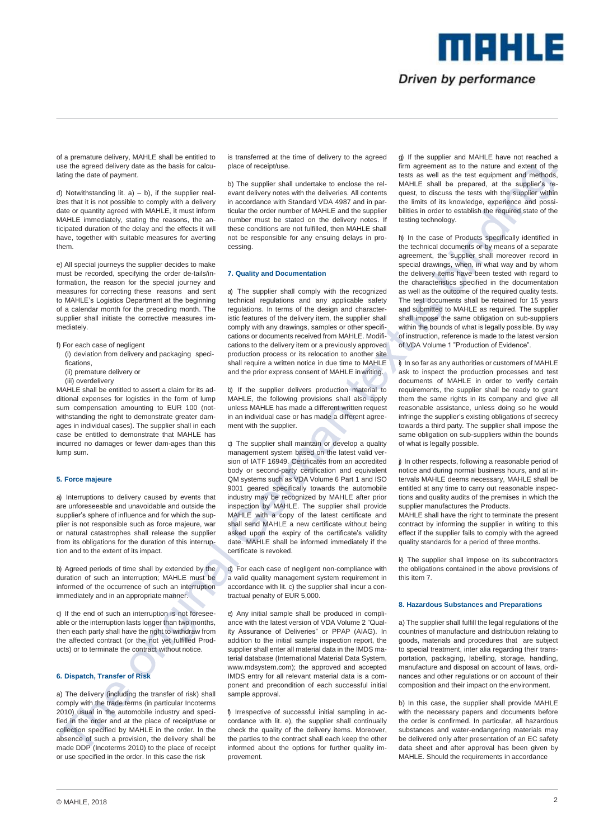Driven by performance

me kills

of a premature delivery, MAHLE shall be entitled to use the agreed delivery date as the basis for calculating the date of payment.

d) Notwithstanding lit.  $a$ ) – b), if the supplier realizes that it is not possible to comply with a delivery date or quantity agreed with MAHLE, it must inform MAHLE immediately, stating the reasons, the anticipated duration of the delay and the effects it will have, together with suitable measures for averting them.

e) All special journeys the supplier decides to make must be recorded, specifying the order de-tails/information, the reason for the special journey and measures for correcting these reasons and sent to MAHLE's Logistics Department at the beginning of a calendar month for the preceding month. The supplier shall initiate the corrective measures immediately.

- f) For each case of negligent
- (i) deviation from delivery and packaging specifications,
- (ii) premature delivery or
- (iii) overdelivery

MAHLE shall be entitled to assert a claim for its additional expenses for logistics in the form of lump sum compensation amounting to EUR 100 (notwithstanding the right to demonstrate greater damages in individual cases). The supplier shall in each case be entitled to demonstrate that MAHLE has incurred no damages or fewer dam-ages than this lump sum.

# **5. Force majeure**

a) Interruptions to delivery caused by events that are unforeseeable and unavoidable and outside the supplier's sphere of influence and for which the supplier is not responsible such as force majeure, war or natural catastrophes shall release the supplier from its obligations for the duration of this interruption and to the extent of its impact.

b) Agreed periods of time shall by extended by the duration of such an interruption; MAHLE must be informed of the occurrence of such an interruption immediately and in an appropriate manner.

c) If the end of such an interruption is not foreseeable or the interruption lasts longer than two months, then each party shall have the right to withdraw from the affected contract (or the not yet fulfilled Products) or to terminate the contract without notice.

# **6. Dispatch, Transfer of Risk**

a) The delivery (including the transfer of risk) shall comply with the trade terms (in particular Incoterms 2010) usual in the automobile industry and specified in the order and at the place of receipt/use or collection specified by MAHLE in the order. In the absence of such a provision, the delivery shall be made DDP (Incoterms 2010) to the place of receipt or use specified in the order. In this case the risk

is transferred at the time of delivery to the agreed place of receipt/use.

b) The supplier shall undertake to enclose the relevant delivery notes with the deliveries. All contents in accordance with Standard VDA 4987 and in particular the order number of MAHLE and the supplier number must be stated on the delivery notes. If these conditions are not fulfilled, then MAHLE shall not be responsible for any ensuing delays in processing.

### **7. Quality and Documentation**

a) The supplier shall comply with the recognized technical regulations and any applicable safety regulations. In terms of the design and characteristic features of the delivery item, the supplier shall comply with any drawings, samples or other specifications or documents received from MAHLE. Modifications to the delivery item or a previously approved production process or its relocation to another site shall require a written notice in due time to MAHLE and the prior express consent of MAHLE inwriting.

b) If the supplier delivers production material to MAHLE, the following provisions shall also apply unless MAHLE has made a different written request in an individual case or has made a different agreement with the supplier.

c) The supplier shall maintain or develop a quality management system based on the latest valid version of IATF 16949. Certificates from an accredited body or second-party certification and equivalent QM systems such as VDA Volume 6 Part 1 and ISO 9001 geared specifically towards the automobile industry may be recognized by MAHLE after prior inspection by MAHLE. The supplier shall provide MAHLE with a copy of the latest certificate and shall send MAHLE a new certificate without being asked upon the expiry of the certificate's validity date. MAHLE shall be informed immediately if the certificate is revoked.

d) For each case of negligent non-compliance with a valid quality management system requirement in accordance with lit. c) the supplier shall incur a contractual penalty of EUR 5,000.

e) Any initial sample shall be produced in compliance with the latest version of VDA Volume 2 "Quality Assurance of Deliveries" or PPAP (AIAG). In addition to the initial sample inspection report, the supplier shall enter all material data in the IMDS material database (International Material Data System, www.mdsystem.com); the approved and accepted IMDS entry for all relevant material data is a component and precondition of each successful initial sample approval.

f) Irrespective of successful initial sampling in accordance with lit. e), the supplier shall continually check the quality of the delivery items. Moreover, the parties to the contract shall each keep the other informed about the options for further quality improvement.

g) If the supplier and MAHLE have not reached a firm agreement as to the nature and extent of the tests as well as the test equipment and methods, MAHLE shall be prepared, at the supplier's request, to discuss the tests with the supplier within the limits of its knowledge, experience and possibilities in order to establish the required state of the testing technology.

h) In the case of Products specifically identified in the technical documents or by means of a separate agreement, the supplier shall moreover record in special drawings, when, in what way and by whom the delivery items have been tested with regard to the characteristics specified in the documentation as well as the outcome of the required quality tests. The test documents shall be retained for 15 years and submitted to MAHLE as required. The supplier shall impose the same obligation on sub-suppliers within the bounds of what is legally possible. By way of instruction, reference is made to the latest version of VDA Volume 1 "Production of Evidence".

i) In so far as any authorities or customers of MAHLE ask to inspect the production processes and test documents of MAHLE in order to verify certain requirements, the supplier shall be ready to grant them the same rights in its company and give all reasonable assistance, unless doing so he would infringe the supplier's existing obligations of secrecy towards a third party. The supplier shall impose the same obligation on sub-suppliers within the bounds of what is legally possible.

j) In other respects, following a reasonable period of notice and during normal business hours, and at intervals MAHLE deems necessary, MAHLE shall be entitled at any time to carry out reasonable inspections and quality audits of the premises in which the supplier manufactures the Products.

MAHLE shall have the right to terminate the present contract by informing the supplier in writing to this effect if the supplier fails to comply with the agreed quality standards for a period of three months.

k) The supplier shall impose on its subcontractors the obligations contained in the above provisions of this item 7.

## **8. Hazardous Substances and Preparations**

a) The supplier shall fulfill the legal regulations of the countries of manufacture and distribution relating to goods, materials and procedures that are subject to special treatment, inter alia regarding their transportation, packaging, labelling, storage, handling, manufacture and disposal on account of laws, ordinances and other regulations or on account of their composition and their impact on the environment.

b) In this case, the supplier shall provide MAHLE with the necessary papers and documents before the order is confirmed. In particular, all hazardous substances and water-endangering materials may be delivered only after presentation of an EC safety data sheet and after approval has been given by MAHLE. Should the requirements in accordance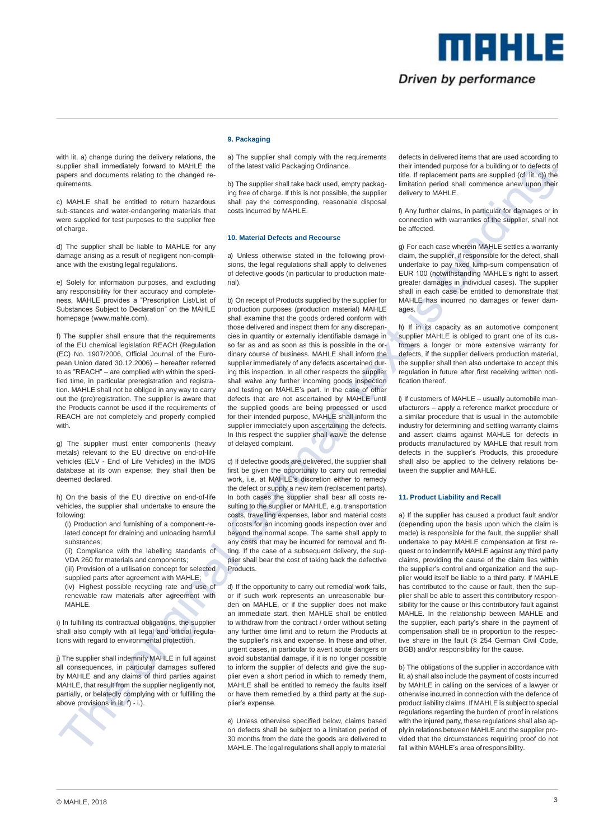

me Hild

with lit. a) change during the delivery relations, the supplier shall immediately forward to MAHLE the papers and documents relating to the changed requirements.

c) MAHLE shall be entitled to return hazardous sub-stances and water-endangering materials that were supplied for test purposes to the supplier free of charge.

d) The supplier shall be liable to MAHLE for any damage arising as a result of negligent non-compliance with the existing legal regulations.

e) Solely for information purposes, and excluding any responsibility for their accuracy and completeness, MAHLE provides a "Prescription List/List of Substances Subject to Declaration" on the MAHLE homepage (www.mahle.com).

f) The supplier shall ensure that the requirements of the EU chemical legislation REACH (Regulation (EC) No. 1907/2006, Official Journal of the European Union dated 30.12.2006) – hereafter referred to as "REACH" – are complied with within the specified time, in particular preregistration and registration. MAHLE shall not be obliged in any way to carry out the (pre)registration. The supplier is aware that the Products cannot be used if the requirements of REACH are not completely and properly complied with.

g) The supplier must enter components (heavy metals) relevant to the EU directive on end-of-life vehicles (ELV - End of Life Vehicles) in the IMDS database at its own expense; they shall then be deemed declared.

h) On the basis of the EU directive on end-of-life vehicles, the supplier shall undertake to ensure the following:

(i) Production and furnishing of a component-related concept for draining and unloading harmful substances;

(ii) Compliance with the labelling standards of VDA 260 for materials and components; (iii) Provision of a utilisation concept for selected supplied parts after agreement with MAHLE;

(iv) Highest possible recycling rate and use of renewable raw materials after agreement with MAHLE.

i) In fulfilling its contractual obligations, the supplier shall also comply with all legal and official regulations with regard to environmental protection.

j) The supplier shall indemnify MAHLE in full against all consequences, in particular damages suffered by MAHLE and any claims of third parties against MAHLE, that result from the supplier negligently not, partially, or belatedly complying with or fulfilling the above provisions in lit. f) - i.).



## **9. Packaging**

a) The supplier shall comply with the requirements of the latest valid Packaging Ordinance.

b) The supplier shall take back used, empty packaging free of charge. If this is not possible, the supplier shall pay the corresponding, reasonable disposal costs incurred by MAHLE.

### **10. Material Defects and Recourse**

a) Unless otherwise stated in the following provisions, the legal regulations shall apply to deliveries of defective goods (in particular to production material).

b) On receipt of Products supplied by the supplier for production purposes (production material) MAHLE shall examine that the goods ordered conform with those delivered and inspect them for any discrepancies in quantity or externally identifiable damage in so far as and as soon as this is possible in the ordinary course of business. MAHLE shall inform the supplier immediately of any defects ascertained during this inspection. In all other respects the supplier shall waive any further incoming goods inspection and testing on MAHLE's part. In the case of other defects that are not ascertained by MAHLE until the supplied goods are being processed or used for their intended purpose, MAHLE shall inform the supplier immediately upon ascertaining the defects. In this respect the supplier shall waive the defense of delayed complaint.

c) If defective goods are delivered, the supplier shall first be given the opportunity to carry out remedial work, i.e. at MAHLE's discretion either to remedy the defect or supply a new item (replacement parts). In both cases the supplier shall bear all costs resulting to the supplier or MAHLE, e.g. transportation costs, travelling expenses, labor and material costs or costs for an incoming goods inspection over and beyond the normal scope. The same shall apply to any costs that may be incurred for removal and fitting. If the case of a subsequent delivery, the supplier shall bear the cost of taking back the defective **Products** 

d) If the opportunity to carry out remedial work fails, or if such work represents an unreasonable burden on MAHLE, or if the supplier does not make an immediate start, then MAHLE shall be entitled to withdraw from the contract / order without setting any further time limit and to return the Products at the supplier's risk and expense. In these and other, urgent cases, in particular to avert acute dangers or avoid substantial damage, if it is no longer possible to inform the supplier of defects and give the supplier even a short period in which to remedy them, MAHLE shall be entitled to remedy the faults itself or have them remedied by a third party at the supplier's expense.

e) Unless otherwise specified below, claims based on defects shall be subject to a limitation period of 30 months from the date the goods are delivered to MAHLE. The legal regulations shall apply to material

defects in delivered items that are used according to their intended purpose for a building or to defects of title. If replacement parts are supplied (cf. lit. c)) the limitation period shall commence anew upon their delivery to MAHLE.

f) Any further claims, in particular for damages or in connection with warranties of the supplier, shall not be affected.

g) For each case wherein MAHLE settles a warranty claim, the supplier, if responsible for the defect, shall undertake to pay fixed lump-sum compensation of EUR 100 (notwithstanding MAHLE's right to assert greater damages in individual cases). The supplier shall in each case be entitled to demonstrate that MAHLE has incurred no damages or fewer damages.

h) If in its capacity as an automotive component supplier MAHLE is obliged to grant one of its customers a longer or more extensive warranty for defects, if the supplier delivers production material, the supplier shall then also undertake to accept this regulation in future after first receiving written notification thereof

i) If customers of MAHLE – usually automobile manufacturers – apply a reference market procedure or a similar procedure that is usual in the automobile industry for determining and settling warranty claims and assert claims against MAHLE for defects in products manufactured by MAHLE that result from defects in the supplier's Products, this procedure shall also be applied to the delivery relations between the supplier and MAHLE.

### **11. Product Liability and Recall**

a) If the supplier has caused a product fault and/or (depending upon the basis upon which the claim is made) is responsible for the fault, the supplier shall undertake to pay MAHLE compensation at first request or to indemnify MAHLE against any third party claims, providing the cause of the claim lies within the supplier's control and organization and the supplier would itself be liable to a third party. If MAHLE has contributed to the cause or fault, then the supplier shall be able to assert this contributory responsibility for the cause or this contributory fault against MAHLE. In the relationship between MAHLE and the supplier, each party's share in the payment of compensation shall be in proportion to the respective share in the fault (§ 254 German Civil Code, BGB) and/or responsibility for the cause.

b) The obligations of the supplier in accordance with lit. a) shall also include the payment of costs incurred by MAHLE in calling on the services of a lawyer or otherwise incurred in connection with the defence of product liability claims. If MAHLE is subject to special regulations regarding the burden of proof in relations with the injured party, these regulations shall also apply in relations between MAHLE and the supplier provided that the circumstances requiring proof do not fall within MAHLE's area ofresponsibility.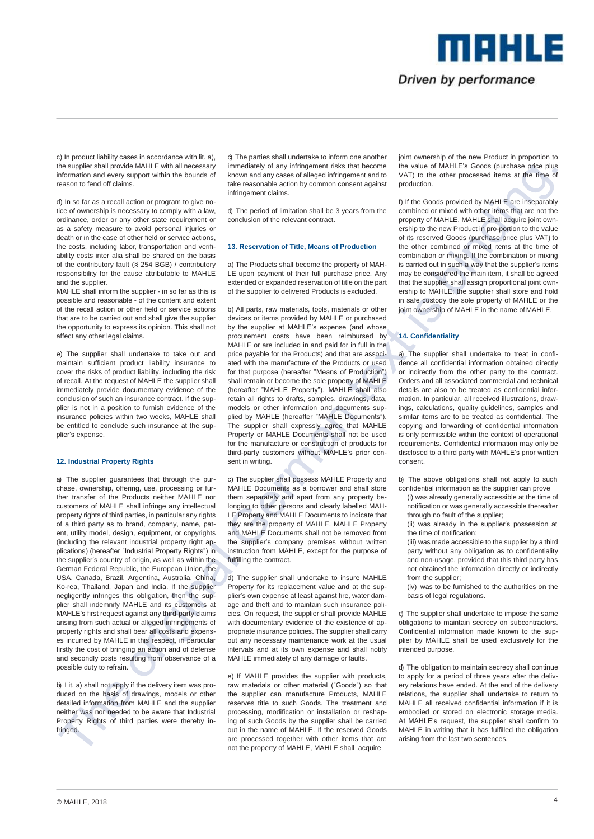# Driven by performance

TTE E 11 3

c) In product liability cases in accordance with lit. a), the supplier shall provide MAHLE with all necessary information and every support within the bounds of reason to fend off claims.

d) In so far as a recall action or program to give notice of ownership is necessary to comply with a law, ordinance, order or any other state requirement or as a safety measure to avoid personal injuries or death or in the case of other field or service actions, the costs, including labor, transportation and verifiability costs inter alia shall be shared on the basis of the contributory fault (§ 254 BGB) / contributory responsibility for the cause attributable to MAHLE and the supplier.

MAHLE shall inform the supplier - in so far as this is possible and reasonable - of the content and extent of the recall action or other field or service actions that are to be carried out and shall give the supplier the opportunity to express its opinion. This shall not affect any other legal claims.

e) The supplier shall undertake to take out and maintain sufficient product liability insurance to cover the risks of product liability, including the risk of recall. At the request of MAHLE the supplier shall immediately provide documentary evidence of the conclusion of such an insurance contract. If the supplier is not in a position to furnish evidence of the insurance policies within two weeks, MAHLE shall be entitled to conclude such insurance at the supplier's expense.

## **12. Industrial Property Rights**

a) The supplier quarantees that through the purchase, ownership, offering, use, processing or further transfer of the Products neither MAHLE nor customers of MAHLE shall infringe any intellectual property rights of third parties, in particular any rights of a third party as to brand, company, name, patent, utility model, design, equipment, or copyrights (including the relevant industrial property right applications) (hereafter "Industrial Property Rights") in the supplier's country of origin, as well as within the German Federal Republic, the European Union, the USA, Canada, Brazil, Argentina, Australia, China, Ko-rea, Thailand, Japan and India. If the supplier negligently infringes this obligation, then the supplier shall indemnify MAHLE and its customers at MAHLE's first request against any third-party claims arising from such actual or alleged infringements of property rights and shall bear all costs and expenses incurred by MAHLE in this respect, in particular firstly the cost of bringing an action and of defense and secondly costs resulting from observance of a possible duty to refrain.

b) Lit. a) shall not apply if the delivery item was produced on the basis of drawings, models or other detailed information from MAHLE and the supplier neither was nor needed to be aware that Industrial Property Rights of third parties were thereby infringed.

c) The parties shall undertake to inform one another immediately of any infringement risks that become known and any cases of alleged infringement and to take reasonable action by common consent against infringement claims.

d) The period of limitation shall be 3 years from the conclusion of the relevant contract.

## **13. Reservation of Title, Means of Production**

a) The Products shall become the property of MAH-LE upon payment of their full purchase price. Any extended or expanded reservation of title on the part of the supplier to delivered Products is excluded.

b) All parts, raw materials, tools, materials or other devices or items provided by MAHLE or purchased by the supplier at MAHLE's expense (and whose procurement costs have been reimbursed by MAHLE or are included in and paid for in full in the price payable for the Products) and that are associated with the manufacture of the Products or used for that purpose (hereafter "Means of Production") shall remain or become the sole property of MAHLE (hereafter "MAHLE Property"). MAHLE shall also retain all rights to drafts, samples, drawings, data, models or other information and documents supplied by MAHLE (hereafter "MAHLE Documents"). The supplier shall expressly agree that MAHLE Property or MAHLE Documents shall not be used for the manufacture or construction of products for third-party customers without MAHLE's prior consent in writing.

c) The supplier shall possess MAHLE Property and MAHLE Documents as a borrower and shall store them separately and apart from any property belonging to other persons and clearly labelled MAH-LE Property and MAHLE Documents to indicate that they are the property of MAHLE. MAHLE Property and MAHLE Documents shall not be removed from the supplier's company premises without written instruction from MAHLE, except for the purpose of fulfilling the contract.

d) The supplier shall undertake to insure MAHLE Property for its replacement value and at the supplier's own expense at least against fire, water damage and theft and to maintain such insurance policies. On request, the supplier shall provide MAHLE with documentary evidence of the existence of appropriate insurance policies. The supplier shall carry out any necessary maintenance work at the usual intervals and at its own expense and shall notify MAHLE immediately of any damage or faults.

e) If MAHLE provides the supplier with products, raw materials or other material ("Goods") so that the supplier can manufacture Products, MAHLE reserves title to such Goods. The treatment and processing, modification or installation or reshaping of such Goods by the supplier shall be carried out in the name of MAHLE. If the reserved Goods are processed together with other items that are not the property of MAHLE, MAHLE shall acquire

joint ownership of the new Product in proportion to the value of MAHLE's Goods (purchase price plus VAT) to the other processed items at the time of production.

f) If the Goods provided by MAHLE are inseparably combined or mixed with other items that are not the property of MAHLE, MAHLE shall acquire joint ownership to the new Product in pro-portion to the value of its reserved Goods (purchase price plus VAT) to the other combined or mixed items at the time of combination or mixing. If the combination or mixing is carried out in such a way that the supplier's items may be considered the main item, it shall be agreed that the supplier shall assign proportional joint ownership to MAHLE; the supplier shall store and hold in safe custody the sole property of MAHLE or the joint ownership of MAHLE in the name of MAHLE.

### **14. Confidentiality**

a) The supplier shall undertake to treat in confidence all confidential information obtained directly or indirectly from the other party to the contract. Orders and all associated commercial and technical details are also to be treated as confidential information. In particular, all received illustrations, drawings, calculations, quality guidelines, samples and similar items are to be treated as confidential. The copying and forwarding of confidential information is only permissible within the context of operational requirements. Confidential information may only be disclosed to a third party with MAHLE's prior written consent.

b) The above obligations shall not apply to such confidential information as the supplier can prove

- (i) was already generally accessible at the time of notification or was generally accessible thereafter through no fault of the supplier;
- (ii) was already in the supplier's possession at the time of notification;

(iii) was made accessible to the supplier by a third party without any obligation as to confidentiality and non-usage, provided that this third party has not obtained the information directly or indirectly from the supplier;

(iv) was to be furnished to the authorities on the basis of legal regulations.

c) The supplier shall undertake to impose the same obligations to maintain secrecy on subcontractors. Confidential information made known to the supplier by MAHLE shall be used exclusively for the intended purpose.

d) The obligation to maintain secrecy shall continue to apply for a period of three years after the delivery relations have ended. At the end of the delivery relations, the supplier shall undertake to return to MAHLE all received confidential information if it is embodied or stored on electronic storage media. At MAHLE's request, the supplier shall confirm to MAHLE in writing that it has fulfilled the obligation arising from the last two sentences.